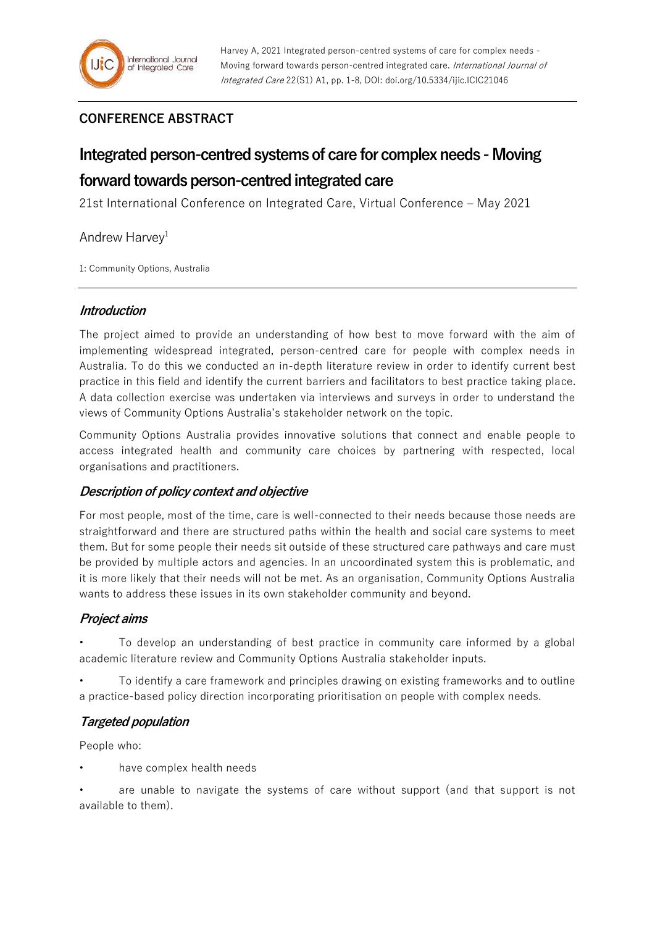## **CONFERENCE ABSTRACT**

# **Integrated person-centred systems of care for complex needs -Moving**

## **forward towards person-centred integrated care**

21st International Conference on Integrated Care, Virtual Conference – May 2021

#### Andrew Harvey<sup>1</sup>

1: Community Options, Australia

#### **Introduction**

The project aimed to provide an understanding of how best to move forward with the aim of implementing widespread integrated, person-centred care for people with complex needs in Australia. To do this we conducted an in-depth literature review in order to identify current best practice in this field and identify the current barriers and facilitators to best practice taking place. A data collection exercise was undertaken via interviews and surveys in order to understand the views of Community Options Australia's stakeholder network on the topic.

Community Options Australia provides innovative solutions that connect and enable people to access integrated health and community care choices by partnering with respected, local organisations and practitioners.

### **Description of policy context and objective**

For most people, most of the time, care is well-connected to their needs because those needs are straightforward and there are structured paths within the health and social care systems to meet them. But for some people their needs sit outside of these structured care pathways and care must be provided by multiple actors and agencies. In an uncoordinated system this is problematic, and it is more likely that their needs will not be met. As an organisation, Community Options Australia wants to address these issues in its own stakeholder community and beyond.

### **Project aims**

• To develop an understanding of best practice in community care informed by a global academic literature review and Community Options Australia stakeholder inputs.

• To identify a care framework and principles drawing on existing frameworks and to outline a practice-based policy direction incorporating prioritisation on people with complex needs.

### **Targeted population**

People who:

have complex health needs

• are unable to navigate the systems of care without support (and that support is not available to them).